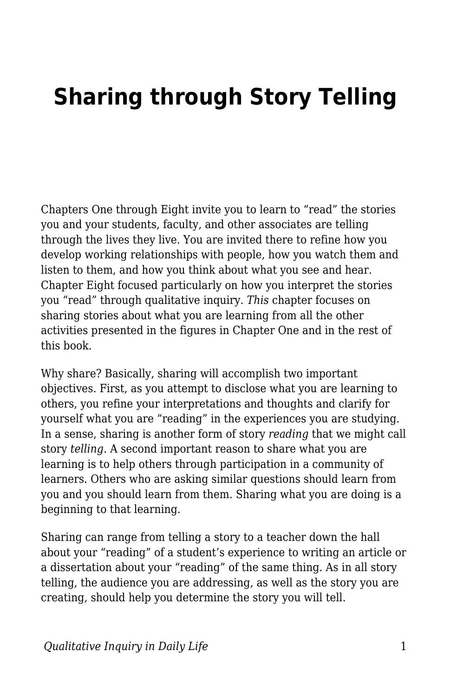## **Sharing through Story Telling**

Chapters One through Eight invite you to learn to "read" the stories you and your students, faculty, and other associates are telling through the lives they live. You are invited there to refine how you develop working relationships with people, how you watch them and listen to them, and how you think about what you see and hear. Chapter Eight focused particularly on how you interpret the stories you "read" through qualitative inquiry. *This* chapter focuses on sharing stories about what you are learning from all the other activities presented in the figures in Chapter One and in the rest of this book.

Why share? Basically, sharing will accomplish two important objectives. First, as you attempt to disclose what you are learning to others, you refine your interpretations and thoughts and clarify for yourself what you are "reading" in the experiences you are studying. In a sense, sharing is another form of story *reading* that we might call story *telling*. A second important reason to share what you are learning is to help others through participation in a community of learners. Others who are asking similar questions should learn from you and you should learn from them. Sharing what you are doing is a beginning to that learning.

Sharing can range from telling a story to a teacher down the hall about your "reading" of a student's experience to writing an article or a dissertation about your "reading" of the same thing. As in all story telling, the audience you are addressing, as well as the story you are creating, should help you determine the story you will tell.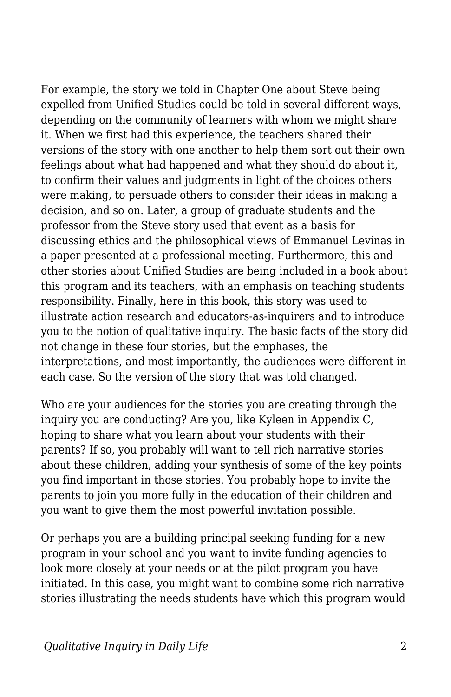For example, the story we told in Chapter One about Steve being expelled from Unified Studies could be told in several different ways, depending on the community of learners with whom we might share it. When we first had this experience, the teachers shared their versions of the story with one another to help them sort out their own feelings about what had happened and what they should do about it, to confirm their values and judgments in light of the choices others were making, to persuade others to consider their ideas in making a decision, and so on. Later, a group of graduate students and the professor from the Steve story used that event as a basis for discussing ethics and the philosophical views of Emmanuel Levinas in a paper presented at a professional meeting. Furthermore, this and other stories about Unified Studies are being included in a book about this program and its teachers, with an emphasis on teaching students responsibility. Finally, here in this book, this story was used to illustrate action research and educators-as-inquirers and to introduce you to the notion of qualitative inquiry. The basic facts of the story did not change in these four stories, but the emphases, the interpretations, and most importantly, the audiences were different in each case. So the version of the story that was told changed.

Who are your audiences for the stories you are creating through the inquiry you are conducting? Are you, like Kyleen in Appendix C, hoping to share what you learn about your students with their parents? If so, you probably will want to tell rich narrative stories about these children, adding your synthesis of some of the key points you find important in those stories. You probably hope to invite the parents to join you more fully in the education of their children and you want to give them the most powerful invitation possible.

Or perhaps you are a building principal seeking funding for a new program in your school and you want to invite funding agencies to look more closely at your needs or at the pilot program you have initiated. In this case, you might want to combine some rich narrative stories illustrating the needs students have which this program would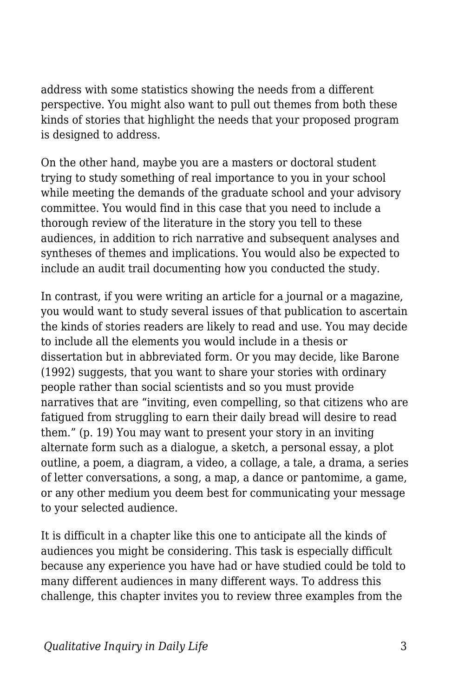address with some statistics showing the needs from a different perspective. You might also want to pull out themes from both these kinds of stories that highlight the needs that your proposed program is designed to address.

On the other hand, maybe you are a masters or doctoral student trying to study something of real importance to you in your school while meeting the demands of the graduate school and your advisory committee. You would find in this case that you need to include a thorough review of the literature in the story you tell to these audiences, in addition to rich narrative and subsequent analyses and syntheses of themes and implications. You would also be expected to include an audit trail documenting how you conducted the study.

In contrast, if you were writing an article for a journal or a magazine, you would want to study several issues of that publication to ascertain the kinds of stories readers are likely to read and use. You may decide to include all the elements you would include in a thesis or dissertation but in abbreviated form. Or you may decide, like Barone (1992) suggests, that you want to share your stories with ordinary people rather than social scientists and so you must provide narratives that are "inviting, even compelling, so that citizens who are fatigued from struggling to earn their daily bread will desire to read them." (p. 19) You may want to present your story in an inviting alternate form such as a dialogue, a sketch, a personal essay, a plot outline, a poem, a diagram, a video, a collage, a tale, a drama, a series of letter conversations, a song, a map, a dance or pantomime, a game, or any other medium you deem best for communicating your message to your selected audience.

It is difficult in a chapter like this one to anticipate all the kinds of audiences you might be considering. This task is especially difficult because any experience you have had or have studied could be told to many different audiences in many different ways. To address this challenge, this chapter invites you to review three examples from the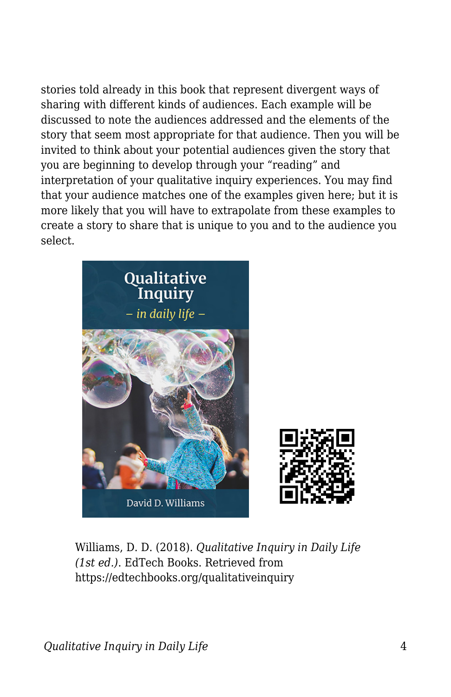stories told already in this book that represent divergent ways of sharing with different kinds of audiences. Each example will be discussed to note the audiences addressed and the elements of the story that seem most appropriate for that audience. Then you will be invited to think about your potential audiences given the story that you are beginning to develop through your "reading" and interpretation of your qualitative inquiry experiences. You may find that your audience matches one of the examples given here; but it is more likely that you will have to extrapolate from these examples to create a story to share that is unique to you and to the audience you select.





Williams, D. D. (2018). *Qualitative Inquiry in Daily Life (1st ed.)*. EdTech Books. Retrieved from https://edtechbooks.org/qualitativeinquiry